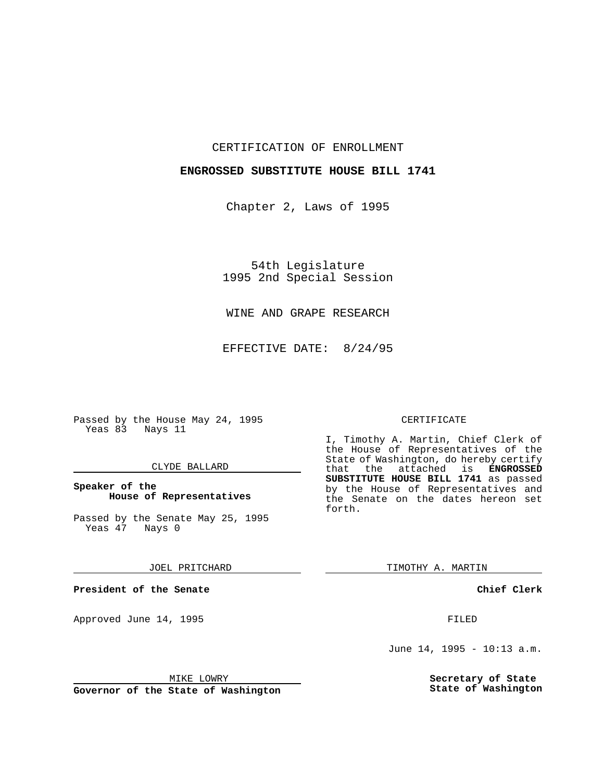CERTIFICATION OF ENROLLMENT

### **ENGROSSED SUBSTITUTE HOUSE BILL 1741**

Chapter 2, Laws of 1995

54th Legislature 1995 2nd Special Session

WINE AND GRAPE RESEARCH

EFFECTIVE DATE: 8/24/95

Passed by the House May 24, 1995 Yeas 83 Nays 11

#### CLYDE BALLARD

### **Speaker of the House of Representatives**

Passed by the Senate May 25, 1995<br>Yeas 47 Nays 0 Yeas 47

JOEL PRITCHARD

**President of the Senate**

Approved June 14, 1995 FILED

## CERTIFICATE

I, Timothy A. Martin, Chief Clerk of the House of Representatives of the State of Washington, do hereby certify that the attached is **ENGROSSED SUBSTITUTE HOUSE BILL 1741** as passed by the House of Representatives and the Senate on the dates hereon set forth.

TIMOTHY A. MARTIN

**Chief Clerk**

June 14, 1995 - 10:13 a.m.

**Secretary of State State of Washington**

MIKE LOWRY

**Governor of the State of Washington**